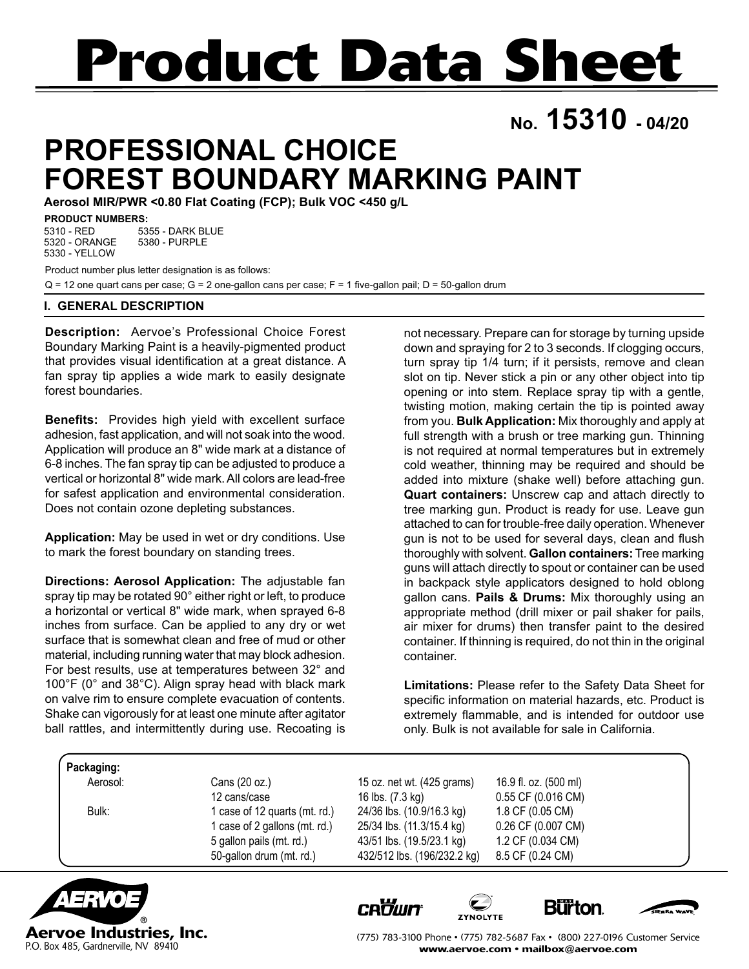# **Product Data Sheet**

**No. 15310 - 04/20**

# **PROFESSIONAL CHOICE FOREST BOUNDARY MARKING PAINT**

**Aerosol MIR/PWR <0.80 Flat Coating (FCP); Bulk VOC <450 g/L**

#### **PRODUCT NUMBERS:**

5355 - DARK BLUE 5380 - PURPLE 5310 - RED 5320 - ORANGE 5330 - YELLOW

Product number plus letter designation is as follows: Q = 12 one quart cans per case; G = 2 one-gallon cans per case; F = 1 five-gallon pail; D = 50-gallon drum

#### **I. GENERAL DESCRIPTION**

**Description:** Aervoe's Professional Choice Forest Boundary Marking Paint is a heavily-pigmented product that provides visual identification at a great distance. A fan spray tip applies a wide mark to easily designate forest boundaries.

**Benefits:** Provides high yield with excellent surface adhesion, fast application, and will not soak into the wood. Application will produce an 8" wide mark at a distance of 6-8 inches. The fan spray tip can be adjusted to produce a vertical or horizontal 8" wide mark. All colors are lead-free for safest application and environmental consideration. Does not contain ozone depleting substances.

**Application:** May be used in wet or dry conditions. Use to mark the forest boundary on standing trees.

**Directions: Aerosol Application:** The adjustable fan spray tip may be rotated 90° either right or left, to produce a horizontal or vertical 8" wide mark, when sprayed 6-8 inches from surface. Can be applied to any dry or wet surface that is somewhat clean and free of mud or other material, including running water that may block adhesion. For best results, use at temperatures between 32° and 100°F (0° and 38°C). Align spray head with black mark on valve rim to ensure complete evacuation of contents. Shake can vigorously for at least one minute after agitator ball rattles, and intermittently during use. Recoating is

not necessary. Prepare can for storage by turning upside down and spraying for 2 to 3 seconds. If clogging occurs, turn spray tip 1/4 turn; if it persists, remove and clean slot on tip. Never stick a pin or any other object into tip opening or into stem. Replace spray tip with a gentle, twisting motion, making certain the tip is pointed away from you. **Bulk Application:** Mix thoroughly and apply at full strength with a brush or tree marking gun. Thinning is not required at normal temperatures but in extremely cold weather, thinning may be required and should be added into mixture (shake well) before attaching gun. **Quart containers:** Unscrew cap and attach directly to tree marking gun. Product is ready for use. Leave gun attached to can for trouble-free daily operation. Whenever gun is not to be used for several days, clean and flush thoroughly with solvent. **Gallon containers:** Tree marking guns will attach directly to spout or container can be used in backpack style applicators designed to hold oblong gallon cans. **Pails & Drums:** Mix thoroughly using an appropriate method (drill mixer or pail shaker for pails, air mixer for drums) then transfer paint to the desired container. If thinning is required, do not thin in the original container.

**Limitations:** Please refer to the Safety Data Sheet for specific information on material hazards, etc. Product is extremely flammable, and is intended for outdoor use only. Bulk is not available for sale in California.

| Packaging: |  |
|------------|--|
|            |  |
|            |  |
|            |  |

Aerosol: Cans (20 oz.) 15 oz. net wt. (425 grams) 16.9 fl. oz. (500 ml)

 12 cans/case 16 lbs. (7.3 kg) 0.55 CF (0.016 CM) Bulk: 1 case of 12 quarts (mt. rd.) 24/36 lbs. (10.9/16.3 kg) 1.8 CF (0.05 CM) 1 case of 2 gallons (mt. rd.) 25/34 lbs. (11.3/15.4 kg) 0.26 CF (0.007 CM) 5 gallon pails (mt. rd.) 43/51 lbs. (19.5/23.1 kg) 1.2 CF (0.034 CM) 50-gallon drum (mt. rd.) 432/512 lbs. (196/232.2 kg) 8.5 CF (0.24 CM)



**CROWN** 







(775) 783-3100 Phone • (775) 782-5687 Fax • (800) 227-0196 Customer Service www.aervoe.com • mailbox@aervoe.com